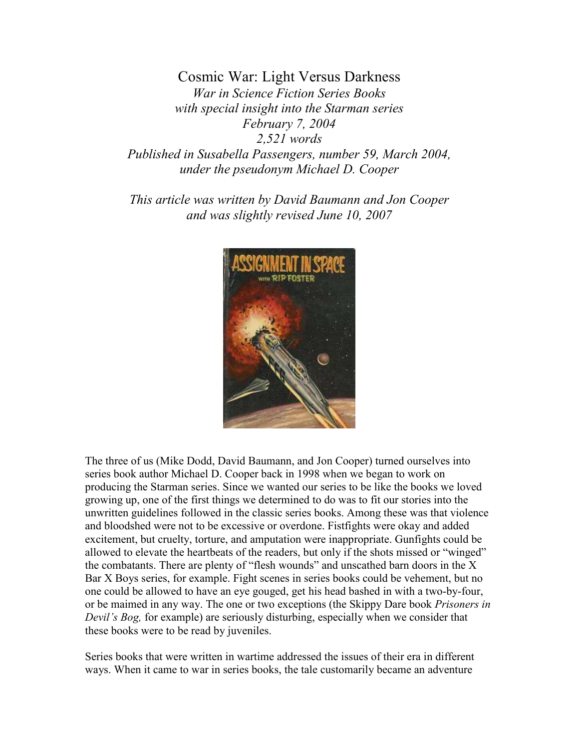Cosmic War: Light Versus Darkness War in Science Fiction Series Books with special insight into the Starman series February 7, 2004 2,521 words Published in Susabella Passengers, number 59, March 2004, under the pseudonym Michael D. Cooper

This article was written by David Baumann and Jon Cooper and was slightly revised June 10, 2007



The three of us (Mike Dodd, David Baumann, and Jon Cooper) turned ourselves into series book author Michael D. Cooper back in 1998 when we began to work on producing the Starman series. Since we wanted our series to be like the books we loved growing up, one of the first things we determined to do was to fit our stories into the unwritten guidelines followed in the classic series books. Among these was that violence and bloodshed were not to be excessive or overdone. Fistfights were okay and added excitement, but cruelty, torture, and amputation were inappropriate. Gunfights could be allowed to elevate the heartbeats of the readers, but only if the shots missed or "winged" the combatants. There are plenty of "flesh wounds" and unscathed barn doors in the X Bar X Boys series, for example. Fight scenes in series books could be vehement, but no one could be allowed to have an eye gouged, get his head bashed in with a two-by-four, or be maimed in any way. The one or two exceptions (the Skippy Dare book Prisoners in Devil's Bog, for example) are seriously disturbing, especially when we consider that these books were to be read by juveniles.

Series books that were written in wartime addressed the issues of their era in different ways. When it came to war in series books, the tale customarily became an adventure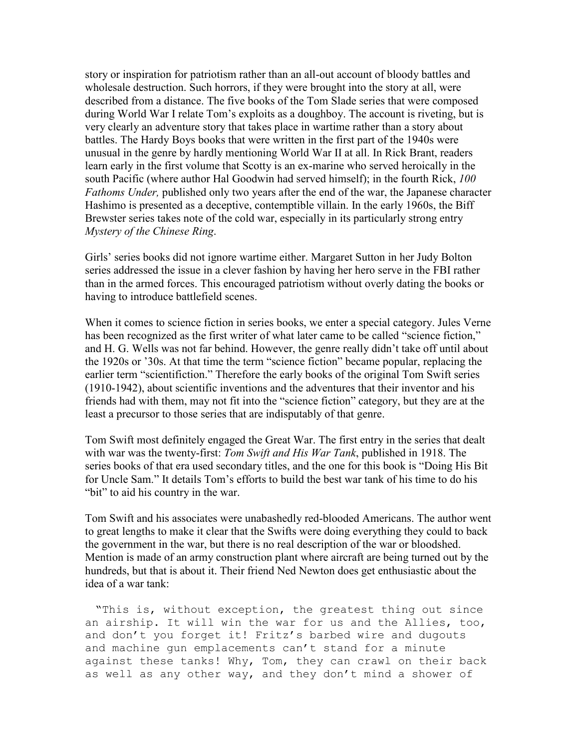story or inspiration for patriotism rather than an all-out account of bloody battles and wholesale destruction. Such horrors, if they were brought into the story at all, were described from a distance. The five books of the Tom Slade series that were composed during World War I relate Tom's exploits as a doughboy. The account is riveting, but is very clearly an adventure story that takes place in wartime rather than a story about battles. The Hardy Boys books that were written in the first part of the 1940s were unusual in the genre by hardly mentioning World War II at all. In Rick Brant, readers learn early in the first volume that Scotty is an ex-marine who served heroically in the south Pacific (where author Hal Goodwin had served himself); in the fourth Rick, 100 Fathoms Under, published only two years after the end of the war, the Japanese character Hashimo is presented as a deceptive, contemptible villain. In the early 1960s, the Biff Brewster series takes note of the cold war, especially in its particularly strong entry Mystery of the Chinese Ring.

Girls' series books did not ignore wartime either. Margaret Sutton in her Judy Bolton series addressed the issue in a clever fashion by having her hero serve in the FBI rather than in the armed forces. This encouraged patriotism without overly dating the books or having to introduce battlefield scenes.

When it comes to science fiction in series books, we enter a special category. Jules Verne has been recognized as the first writer of what later came to be called "science fiction," and H. G. Wells was not far behind. However, the genre really didn't take off until about the 1920s or '30s. At that time the term "science fiction" became popular, replacing the earlier term "scientifiction." Therefore the early books of the original Tom Swift series (1910-1942), about scientific inventions and the adventures that their inventor and his friends had with them, may not fit into the "science fiction" category, but they are at the least a precursor to those series that are indisputably of that genre.

Tom Swift most definitely engaged the Great War. The first entry in the series that dealt with war was the twenty-first: Tom Swift and His War Tank, published in 1918. The series books of that era used secondary titles, and the one for this book is "Doing His Bit for Uncle Sam." It details Tom's efforts to build the best war tank of his time to do his "bit" to aid his country in the war.

Tom Swift and his associates were unabashedly red-blooded Americans. The author went to great lengths to make it clear that the Swifts were doing everything they could to back the government in the war, but there is no real description of the war or bloodshed. Mention is made of an army construction plant where aircraft are being turned out by the hundreds, but that is about it. Their friend Ned Newton does get enthusiastic about the idea of a war tank:

"This is, without exception, the greatest thing out since an airship. It will win the war for us and the Allies, too, and don't you forget it! Fritz's barbed wire and dugouts and machine gun emplacements can't stand for a minute against these tanks! Why, Tom, they can crawl on their back as well as any other way, and they don't mind a shower of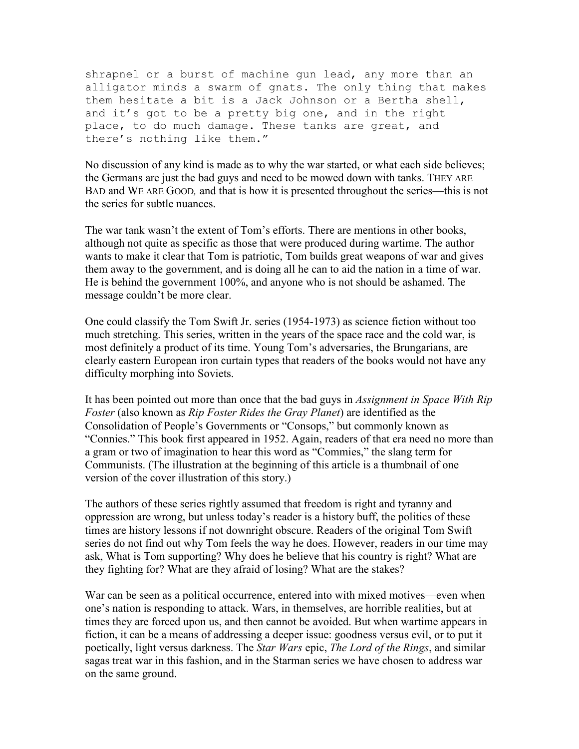shrapnel or a burst of machine gun lead, any more than an alligator minds a swarm of gnats. The only thing that makes them hesitate a bit is a Jack Johnson or a Bertha shell, and it's got to be a pretty big one, and in the right place, to do much damage. These tanks are great, and there's nothing like them."

No discussion of any kind is made as to why the war started, or what each side believes; the Germans are just the bad guys and need to be mowed down with tanks. THEY ARE BAD and WE ARE GOOD, and that is how it is presented throughout the series—this is not the series for subtle nuances.

The war tank wasn't the extent of Tom's efforts. There are mentions in other books, although not quite as specific as those that were produced during wartime. The author wants to make it clear that Tom is patriotic, Tom builds great weapons of war and gives them away to the government, and is doing all he can to aid the nation in a time of war. He is behind the government 100%, and anyone who is not should be ashamed. The message couldn't be more clear.

One could classify the Tom Swift Jr. series (1954-1973) as science fiction without too much stretching. This series, written in the years of the space race and the cold war, is most definitely a product of its time. Young Tom's adversaries, the Brungarians, are clearly eastern European iron curtain types that readers of the books would not have any difficulty morphing into Soviets.

It has been pointed out more than once that the bad guys in Assignment in Space With Rip Foster (also known as Rip Foster Rides the Gray Planet) are identified as the Consolidation of People's Governments or "Consops," but commonly known as "Connies." This book first appeared in 1952. Again, readers of that era need no more than a gram or two of imagination to hear this word as "Commies," the slang term for Communists. (The illustration at the beginning of this article is a thumbnail of one version of the cover illustration of this story.)

The authors of these series rightly assumed that freedom is right and tyranny and oppression are wrong, but unless today's reader is a history buff, the politics of these times are history lessons if not downright obscure. Readers of the original Tom Swift series do not find out why Tom feels the way he does. However, readers in our time may ask, What is Tom supporting? Why does he believe that his country is right? What are they fighting for? What are they afraid of losing? What are the stakes?

War can be seen as a political occurrence, entered into with mixed motives—even when one's nation is responding to attack. Wars, in themselves, are horrible realities, but at times they are forced upon us, and then cannot be avoided. But when wartime appears in fiction, it can be a means of addressing a deeper issue: goodness versus evil, or to put it poetically, light versus darkness. The Star Wars epic, The Lord of the Rings, and similar sagas treat war in this fashion, and in the Starman series we have chosen to address war on the same ground.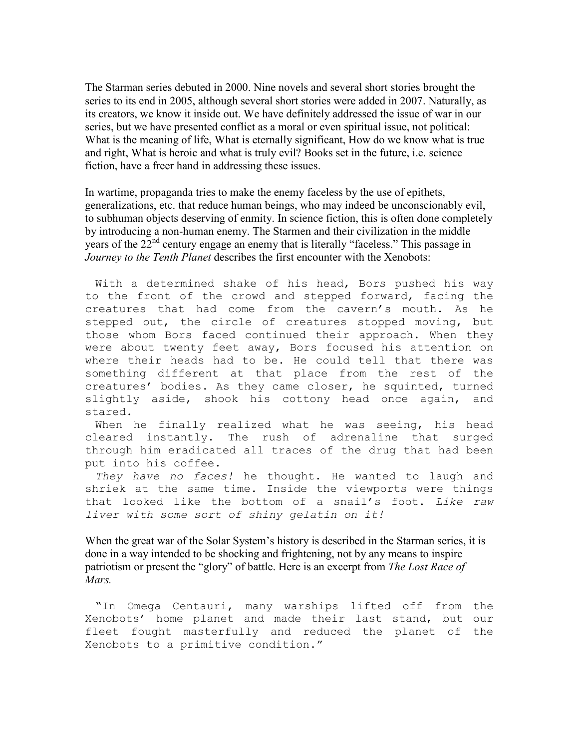The Starman series debuted in 2000. Nine novels and several short stories brought the series to its end in 2005, although several short stories were added in 2007. Naturally, as its creators, we know it inside out. We have definitely addressed the issue of war in our series, but we have presented conflict as a moral or even spiritual issue, not political: What is the meaning of life, What is eternally significant, How do we know what is true and right, What is heroic and what is truly evil? Books set in the future, i.e. science fiction, have a freer hand in addressing these issues.

In wartime, propaganda tries to make the enemy faceless by the use of epithets, generalizations, etc. that reduce human beings, who may indeed be unconscionably evil, to subhuman objects deserving of enmity. In science fiction, this is often done completely by introducing a non-human enemy. The Starmen and their civilization in the middle years of the 22<sup>nd</sup> century engage an enemy that is literally "faceless." This passage in Journey to the Tenth Planet describes the first encounter with the Xenobots:

With a determined shake of his head, Bors pushed his way to the front of the crowd and stepped forward, facing the creatures that had come from the cavern's mouth. As he stepped out, the circle of creatures stopped moving, but those whom Bors faced continued their approach. When they were about twenty feet away, Bors focused his attention on where their heads had to be. He could tell that there was something different at that place from the rest of the creatures' bodies. As they came closer, he squinted, turned slightly aside, shook his cottony head once again, and stared.

When he finally realized what he was seeing, his head cleared instantly. The rush of adrenaline that surged through him eradicated all traces of the drug that had been put into his coffee.

They have no faces! he thought. He wanted to laugh and shriek at the same time. Inside the viewports were things that looked like the bottom of a snail's foot. Like raw liver with some sort of shiny gelatin on it!

When the great war of the Solar System's history is described in the Starman series, it is done in a way intended to be shocking and frightening, not by any means to inspire patriotism or present the "glory" of battle. Here is an excerpt from The Lost Race of Mars.

"In Omega Centauri, many warships lifted off from the Xenobots' home planet and made their last stand, but our fleet fought masterfully and reduced the planet of the Xenobots to a primitive condition."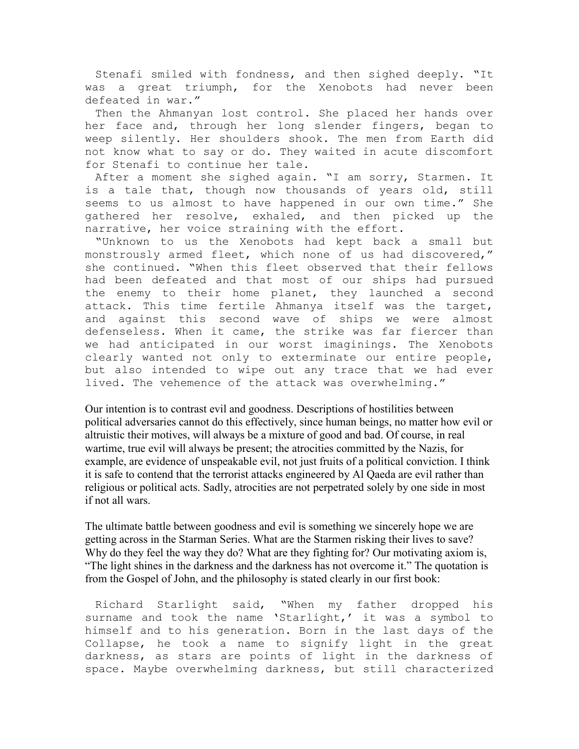Stenafi smiled with fondness, and then sighed deeply. "It was a great triumph, for the Xenobots had never been defeated in war."

Then the Ahmanyan lost control. She placed her hands over her face and, through her long slender fingers, began to weep silently. Her shoulders shook. The men from Earth did not know what to say or do. They waited in acute discomfort for Stenafi to continue her tale.

After a moment she sighed again. "I am sorry, Starmen. It is a tale that, though now thousands of years old, still seems to us almost to have happened in our own time." She gathered her resolve, exhaled, and then picked up the narrative, her voice straining with the effort.

"Unknown to us the Xenobots had kept back a small but monstrously armed fleet, which none of us had discovered," she continued. "When this fleet observed that their fellows had been defeated and that most of our ships had pursued the enemy to their home planet, they launched a second attack. This time fertile Ahmanya itself was the target, and against this second wave of ships we were almost defenseless. When it came, the strike was far fiercer than we had anticipated in our worst imaginings. The Xenobots clearly wanted not only to exterminate our entire people, but also intended to wipe out any trace that we had ever lived. The vehemence of the attack was overwhelming."

Our intention is to contrast evil and goodness. Descriptions of hostilities between political adversaries cannot do this effectively, since human beings, no matter how evil or altruistic their motives, will always be a mixture of good and bad. Of course, in real wartime, true evil will always be present; the atrocities committed by the Nazis, for example, are evidence of unspeakable evil, not just fruits of a political conviction. I think it is safe to contend that the terrorist attacks engineered by Al Qaeda are evil rather than religious or political acts. Sadly, atrocities are not perpetrated solely by one side in most if not all wars.

The ultimate battle between goodness and evil is something we sincerely hope we are getting across in the Starman Series. What are the Starmen risking their lives to save? Why do they feel the way they do? What are they fighting for? Our motivating axiom is, "The light shines in the darkness and the darkness has not overcome it." The quotation is from the Gospel of John, and the philosophy is stated clearly in our first book:

Richard Starlight said, "When my father dropped his surname and took the name 'Starlight,' it was a symbol to himself and to his generation. Born in the last days of the Collapse, he took a name to signify light in the great darkness, as stars are points of light in the darkness of space. Maybe overwhelming darkness, but still characterized